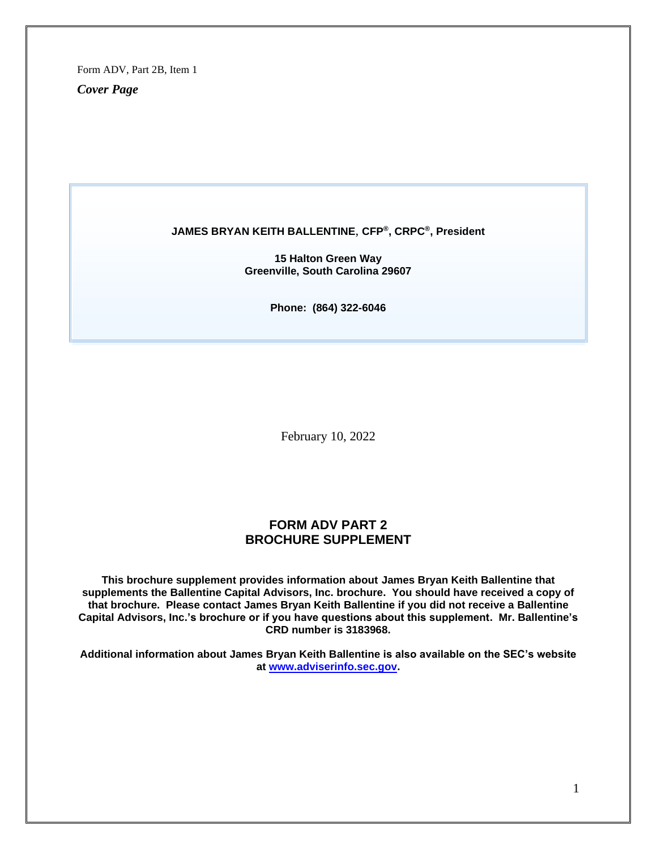*Cover Page*

#### **JAMES BRYAN KEITH BALLENTINE**, **CFP®, CRPC®, President**

**15 Halton Green Way Greenville, South Carolina 29607**

**Phone: (864) 322-6046**

February 10, 2022

### **FORM ADV PART 2 BROCHURE SUPPLEMENT**

**This brochure supplement provides information about James Bryan Keith Ballentine that supplements the Ballentine Capital Advisors, Inc. brochure. You should have received a copy of that brochure. Please contact James Bryan Keith Ballentine if you did not receive a Ballentine Capital Advisors, Inc.'s brochure or if you have questions about this supplement. Mr. Ballentine's CRD number is 3183968.**

**Additional information about James Bryan Keith Ballentine is also available on the SEC's website at [www.adviserinfo.sec.gov.](http://www.adviserinfo.sec.gov/)**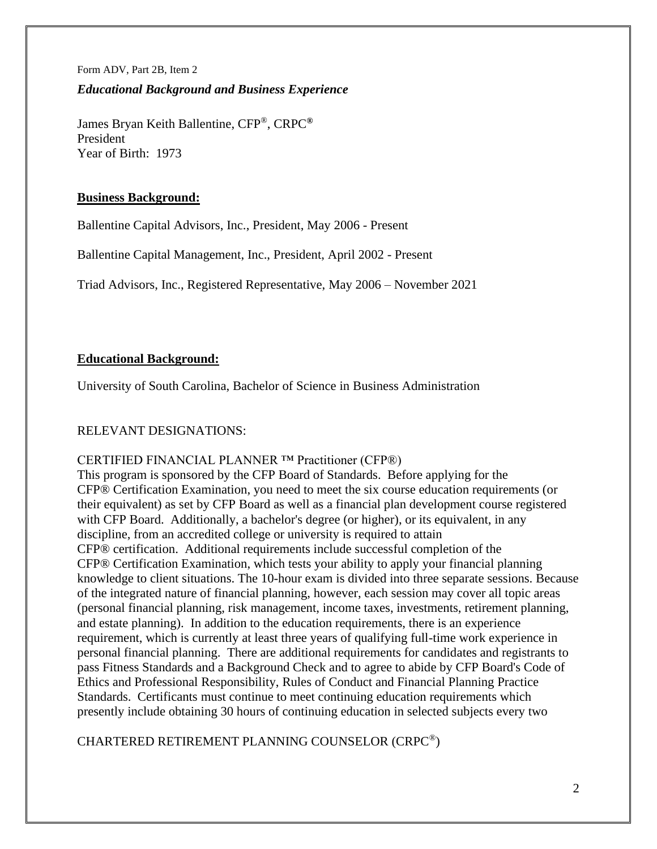Form ADV, Part 2B, Item 2 *Educational Background and Business Experience*

James Bryan Keith Ballentine, CFP®, CRPC**®** President Year of Birth: 1973

# **Business Background:**

Ballentine Capital Advisors, Inc., President, May 2006 - Present

Ballentine Capital Management, Inc., President, April 2002 - Present

Triad Advisors, Inc., Registered Representative, May 2006 – November 2021

# **Educational Background:**

University of South Carolina, Bachelor of Science in Business Administration

# RELEVANT DESIGNATIONS:

# CERTIFIED FINANCIAL PLANNER ™ Practitioner (CFP®)

This program is sponsored by the CFP Board of Standards. Before applying for the CFP® Certification Examination, you need to meet the six course education requirements (or their equivalent) as set by CFP Board as well as a financial plan development course registered with CFP Board. Additionally, a bachelor's degree (or higher), or its equivalent, in any discipline, from an accredited college or university is required to attain CFP® certification. Additional requirements include successful completion of the CFP® Certification Examination, which tests your ability to apply your financial planning knowledge to client situations. The 10-hour exam is divided into three separate sessions. Because of the integrated nature of financial planning, however, each session may cover all topic areas (personal financial planning, risk management, income taxes, investments, retirement planning, and estate planning). In addition to the education requirements, there is an experience requirement, which is currently at least three years of qualifying full-time work experience in personal financial planning. There are additional requirements for candidates and registrants to pass Fitness Standards and a Background Check and to agree to abide by CFP Board's Code of Ethics and Professional Responsibility, Rules of Conduct and Financial Planning Practice Standards. Certificants must continue to meet continuing education requirements which presently include obtaining 30 hours of continuing education in selected subjects every two

CHARTERED RETIREMENT PLANNING COUNSELOR (CRPC®)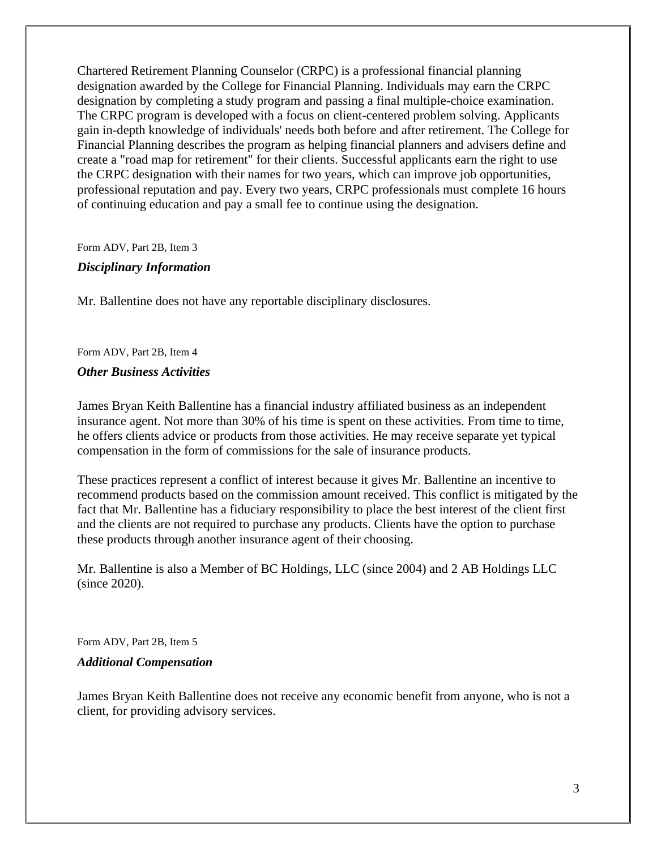Chartered Retirement Planning Counselor (CRPC) is a professional financial planning designation awarded by the College for Financial Planning. Individuals may earn the CRPC designation by completing a study program and passing a final multiple-choice examination. The CRPC program is developed with a focus on client-centered problem solving. Applicants gain in-depth knowledge of individuals' needs both before and after retirement. The College for Financial Planning describes the program as helping financial planners and advisers define and create a "road map for retirement" for their clients. Successful applicants earn the right to use the CRPC designation with their names for two years, which can improve job opportunities, professional reputation and pay. Every two years, CRPC professionals must complete 16 hours of continuing education and pay a small fee to continue using the designation.

Form ADV, Part 2B, Item 3

### *Disciplinary Information*

Mr. Ballentine does not have any reportable disciplinary disclosures.

Form ADV, Part 2B, Item 4

#### *Other Business Activities*

James Bryan Keith Ballentine has a financial industry affiliated business as an independent insurance agent. Not more than 30% of his time is spent on these activities. From time to time, he offers clients advice or products from those activities. He may receive separate yet typical compensation in the form of commissions for the sale of insurance products.

These practices represent a conflict of interest because it gives Mr. Ballentine an incentive to recommend products based on the commission amount received. This conflict is mitigated by the fact that Mr. Ballentine has a fiduciary responsibility to place the best interest of the client first and the clients are not required to purchase any products. Clients have the option to purchase these products through another insurance agent of their choosing.

Mr. Ballentine is also a Member of BC Holdings, LLC (since 2004) and 2 AB Holdings LLC (since 2020).

Form ADV, Part 2B, Item 5

#### *Additional Compensation*

James Bryan Keith Ballentine does not receive any economic benefit from anyone, who is not a client, for providing advisory services.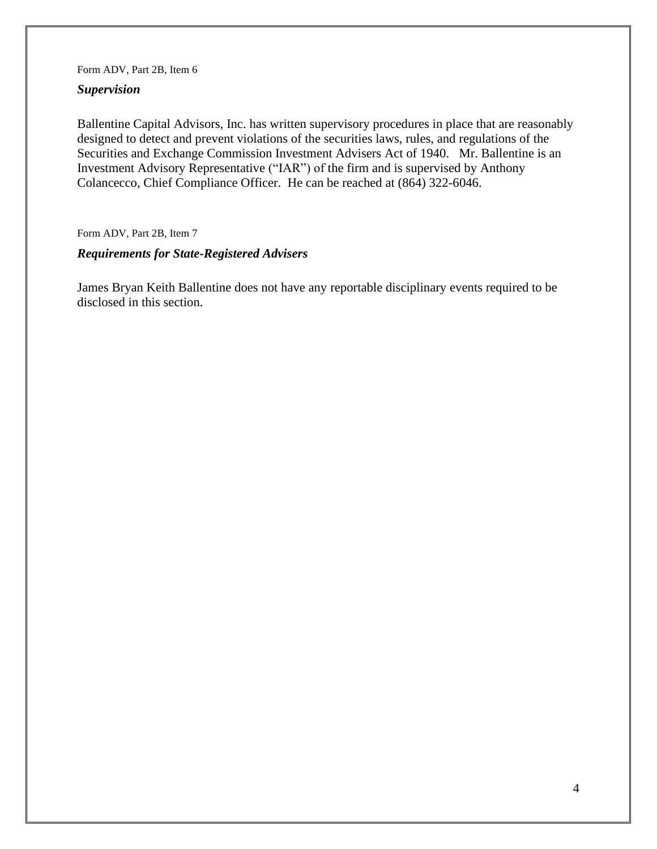### *Supervision*

Ballentine Capital Advisors, Inc. has written supervisory procedures in place that are reasonably designed to detect and prevent violations of the securities laws, rules, and regulations of the Securities and Exchange Commission Investment Advisers Act of 1940. Mr. Ballentine is an Investment Advisory Representative ("IAR") of the firm and is supervised by Anthony Colancecco, Chief Compliance Officer. He can be reached at (864) 322-6046.

Form ADV, Part 2B, Item 7

### *Requirements for State-Registered Advisers*

James Bryan Keith Ballentine does not have any reportable disciplinary events required to be disclosed in this section.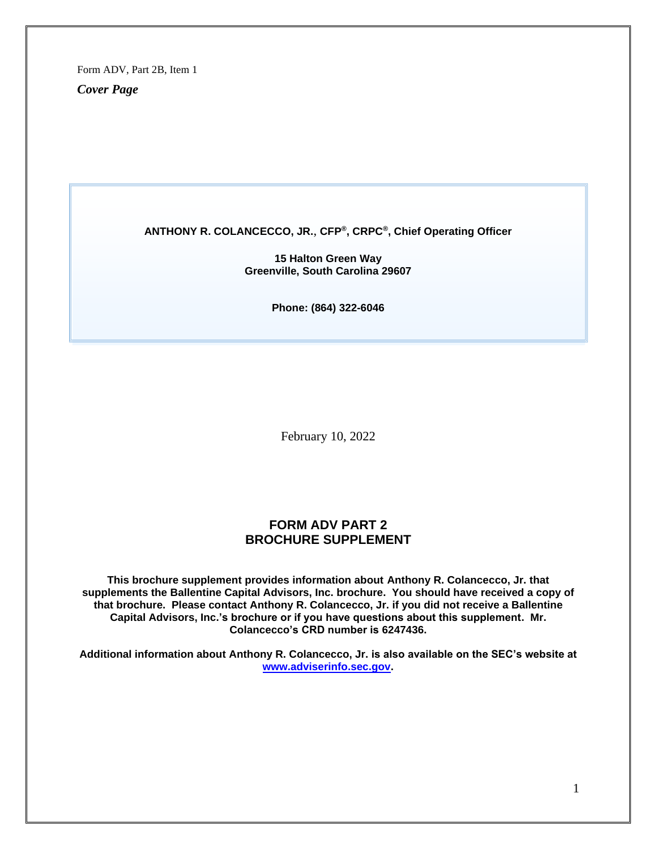*Cover Page*

#### **ANTHONY R. COLANCECCO, JR.**, **CFP®, CRPC®, Chief Operating Officer**

**15 Halton Green Way Greenville, South Carolina 29607**

**Phone: (864) 322-6046**

February 10, 2022

### **FORM ADV PART 2 BROCHURE SUPPLEMENT**

**This brochure supplement provides information about Anthony R. Colancecco, Jr. that supplements the Ballentine Capital Advisors, Inc. brochure. You should have received a copy of that brochure. Please contact Anthony R. Colancecco, Jr. if you did not receive a Ballentine Capital Advisors, Inc.'s brochure or if you have questions about this supplement. Mr. Colancecco's CRD number is 6247436.**

**Additional information about Anthony R. Colancecco, Jr. is also available on the SEC's website at [www.adviserinfo.sec.gov.](http://www.adviserinfo.sec.gov/)**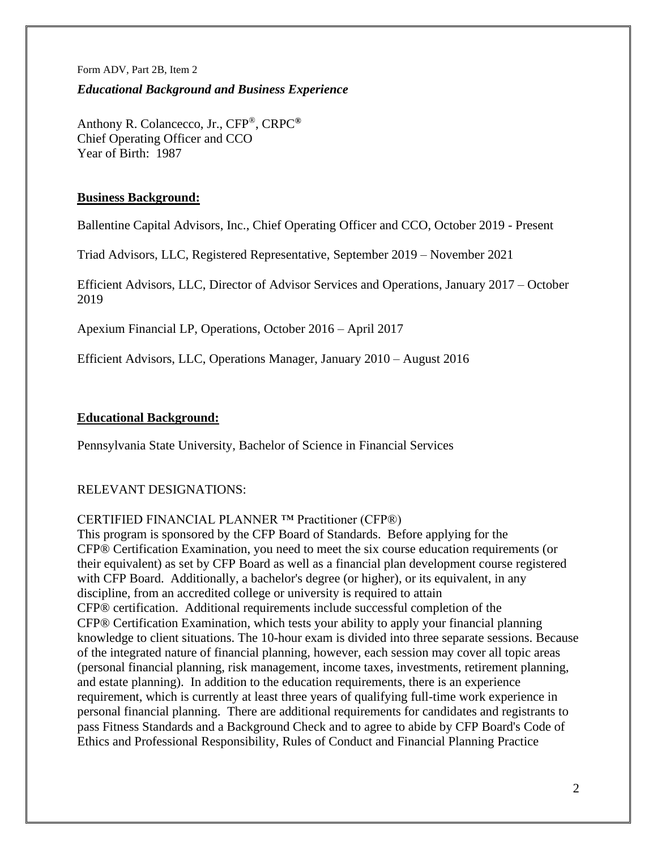### *Educational Background and Business Experience*

Anthony R. Colancecco, Jr., CFP®, CRPC**®** Chief Operating Officer and CCO Year of Birth: 1987

### **Business Background:**

Ballentine Capital Advisors, Inc., Chief Operating Officer and CCO, October 2019 - Present

Triad Advisors, LLC, Registered Representative, September 2019 – November 2021

Efficient Advisors, LLC, Director of Advisor Services and Operations, January 2017 – October 2019

Apexium Financial LP, Operations, October 2016 – April 2017

Efficient Advisors, LLC, Operations Manager, January 2010 – August 2016

### **Educational Background:**

Pennsylvania State University, Bachelor of Science in Financial Services

## RELEVANT DESIGNATIONS:

### CERTIFIED FINANCIAL PLANNER ™ Practitioner (CFP®)

This program is sponsored by the CFP Board of Standards. Before applying for the CFP® Certification Examination, you need to meet the six course education requirements (or their equivalent) as set by CFP Board as well as a financial plan development course registered with CFP Board. Additionally, a bachelor's degree (or higher), or its equivalent, in any discipline, from an accredited college or university is required to attain CFP® certification. Additional requirements include successful completion of the CFP® Certification Examination, which tests your ability to apply your financial planning knowledge to client situations. The 10-hour exam is divided into three separate sessions. Because of the integrated nature of financial planning, however, each session may cover all topic areas (personal financial planning, risk management, income taxes, investments, retirement planning, and estate planning). In addition to the education requirements, there is an experience requirement, which is currently at least three years of qualifying full-time work experience in personal financial planning. There are additional requirements for candidates and registrants to pass Fitness Standards and a Background Check and to agree to abide by CFP Board's Code of Ethics and Professional Responsibility, Rules of Conduct and Financial Planning Practice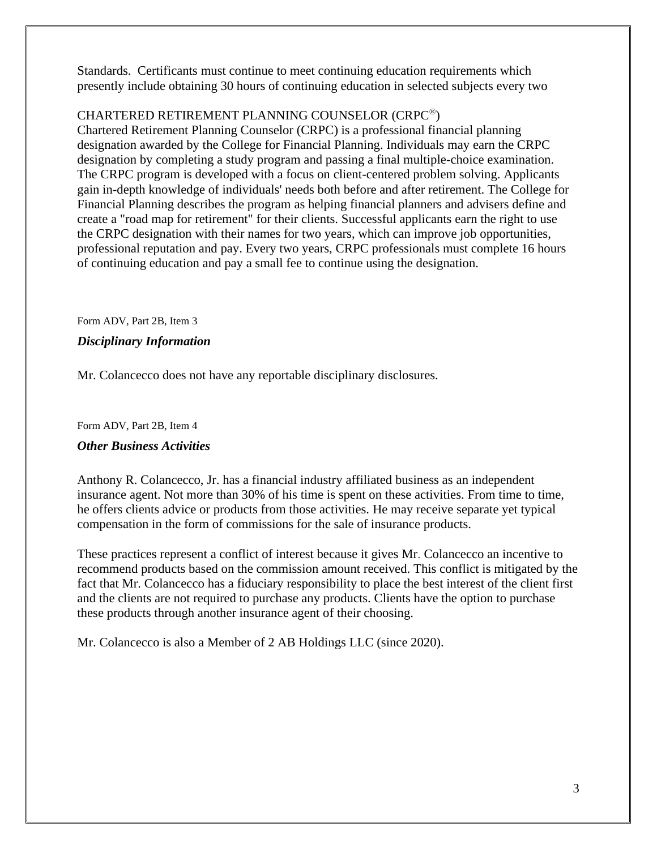Standards. Certificants must continue to meet continuing education requirements which presently include obtaining 30 hours of continuing education in selected subjects every two

# CHARTERED RETIREMENT PLANNING COUNSELOR (CRPC®)

Chartered Retirement Planning Counselor (CRPC) is a professional financial planning designation awarded by the College for Financial Planning. Individuals may earn the CRPC designation by completing a study program and passing a final multiple-choice examination. The CRPC program is developed with a focus on client-centered problem solving. Applicants gain in-depth knowledge of individuals' needs both before and after retirement. The College for Financial Planning describes the program as helping financial planners and advisers define and create a "road map for retirement" for their clients. Successful applicants earn the right to use the CRPC designation with their names for two years, which can improve job opportunities, professional reputation and pay. Every two years, CRPC professionals must complete 16 hours of continuing education and pay a small fee to continue using the designation.

Form ADV, Part 2B, Item 3

### *Disciplinary Information*

Mr. Colancecco does not have any reportable disciplinary disclosures.

Form ADV, Part 2B, Item 4

### *Other Business Activities*

Anthony R. Colancecco, Jr. has a financial industry affiliated business as an independent insurance agent. Not more than 30% of his time is spent on these activities. From time to time, he offers clients advice or products from those activities. He may receive separate yet typical compensation in the form of commissions for the sale of insurance products.

These practices represent a conflict of interest because it gives Mr. Colancecco an incentive to recommend products based on the commission amount received. This conflict is mitigated by the fact that Mr. Colancecco has a fiduciary responsibility to place the best interest of the client first and the clients are not required to purchase any products. Clients have the option to purchase these products through another insurance agent of their choosing.

Mr. Colancecco is also a Member of 2 AB Holdings LLC (since 2020).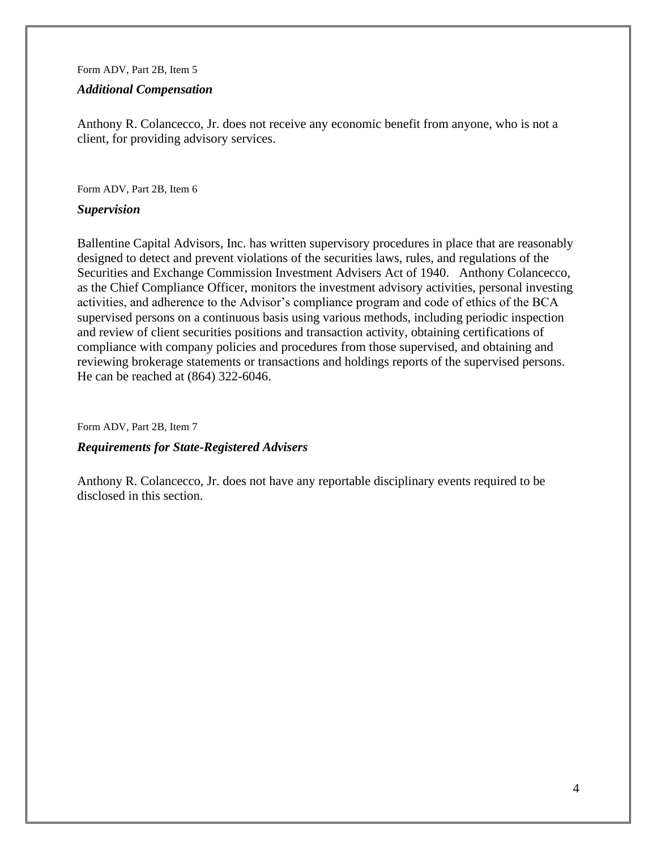#### *Additional Compensation*

Anthony R. Colancecco, Jr. does not receive any economic benefit from anyone, who is not a client, for providing advisory services.

Form ADV, Part 2B, Item 6

### *Supervision*

Ballentine Capital Advisors, Inc. has written supervisory procedures in place that are reasonably designed to detect and prevent violations of the securities laws, rules, and regulations of the Securities and Exchange Commission Investment Advisers Act of 1940. Anthony Colancecco, as the Chief Compliance Officer, monitors the investment advisory activities, personal investing activities, and adherence to the Advisor's compliance program and code of ethics of the BCA supervised persons on a continuous basis using various methods, including periodic inspection and review of client securities positions and transaction activity, obtaining certifications of compliance with company policies and procedures from those supervised, and obtaining and reviewing brokerage statements or transactions and holdings reports of the supervised persons. He can be reached at (864) 322-6046.

Form ADV, Part 2B, Item 7

### *Requirements for State-Registered Advisers*

Anthony R. Colancecco, Jr. does not have any reportable disciplinary events required to be disclosed in this section.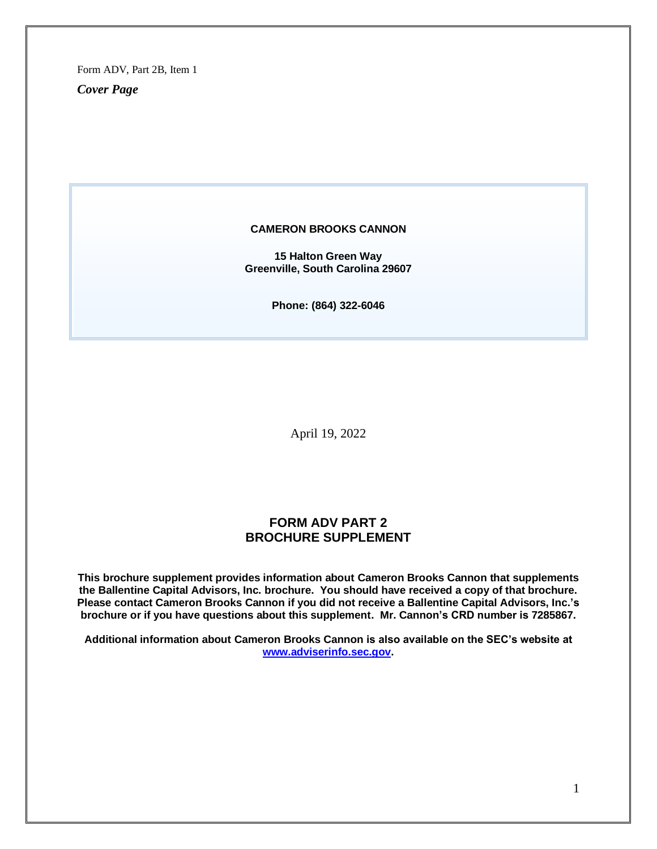*Cover Page*

#### **CAMERON BROOKS CANNON**

**15 Halton Green Way Greenville, South Carolina 29607**

**Phone: (864) 322-6046**

April 19, 2022

### **FORM ADV PART 2 BROCHURE SUPPLEMENT**

**This brochure supplement provides information about Cameron Brooks Cannon that supplements the Ballentine Capital Advisors, Inc. brochure. You should have received a copy of that brochure. Please contact Cameron Brooks Cannon if you did not receive a Ballentine Capital Advisors, Inc.'s brochure or if you have questions about this supplement. Mr. Cannon's CRD number is 7285867.**

**Additional information about Cameron Brooks Cannon is also available on the SEC's website at [www.adviserinfo.sec.gov.](http://www.adviserinfo.sec.gov/)**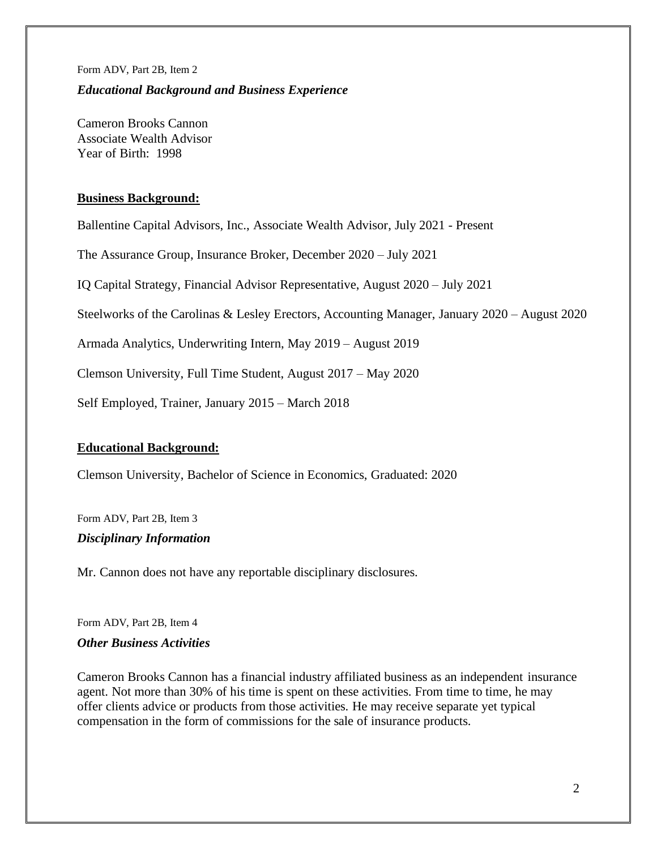# Form ADV, Part 2B, Item 2 *Educational Background and Business Experience*

Cameron Brooks Cannon Associate Wealth Advisor Year of Birth: 1998

# **Business Background:**

Ballentine Capital Advisors, Inc., Associate Wealth Advisor, July 2021 - Present

The Assurance Group, Insurance Broker, December 2020 – July 2021

IQ Capital Strategy, Financial Advisor Representative, August 2020 – July 2021

Steelworks of the Carolinas & Lesley Erectors, Accounting Manager, January 2020 – August 2020

Armada Analytics, Underwriting Intern, May 2019 – August 2019

Clemson University, Full Time Student, August 2017 – May 2020

Self Employed, Trainer, January 2015 – March 2018

## **Educational Background:**

Clemson University, Bachelor of Science in Economics, Graduated: 2020

Form ADV, Part 2B, Item 3

## *Disciplinary Information*

Mr. Cannon does not have any reportable disciplinary disclosures.

Form ADV, Part 2B, Item 4

## *Other Business Activities*

Cameron Brooks Cannon has a financial industry affiliated business as an independent insurance agent. Not more than 30% of his time is spent on these activities. From time to time, he may offer clients advice or products from those activities. He may receive separate yet typical compensation in the form of commissions for the sale of insurance products.